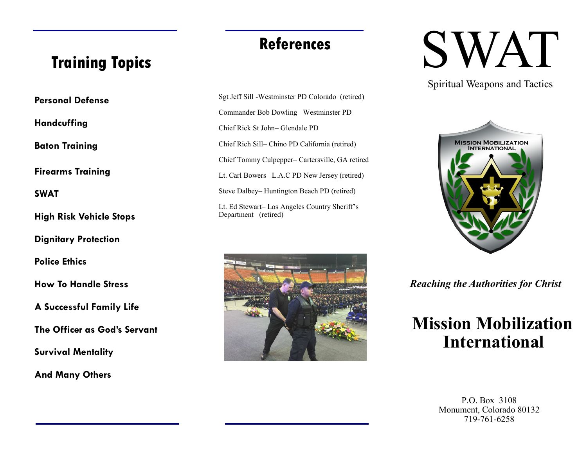## **References**

# **Training Topics**

**Personal Defense**

**Handcuffing**

**Baton Training**

**Firearms Training**

**SWAT**

**High Risk Vehicle Stops**

**Dignitary Protection**

**Police Ethics**

**How To Handle Stress**

**A Successful Family Life**

**The Officer as God's Servant**

**Survival Mentality**

**And Many Others**

Sgt Jeff Sill -Westminster PD Colorado (retired) Commander Bob Dowling– Westminster PD Chief Rick St John– Glendale PD Chief Rich Sill– Chino PD California (retired) Chief Tommy Culpepper– Cartersville, GA retired Lt. Carl Bowers– L.A.C PD New Jersey (retired) Steve Dalbey– Huntington Beach PD (retired) Lt. Ed Stewart– Los Angeles Country Sheriff's Department (retired)



# SWAT

Spiritual Weapons and Tactics



*Reaching the Authorities for Christ*

# **Mission Mobilization International**

P.O. Box 3108 Monument, Colorado 80132 719-761-6258